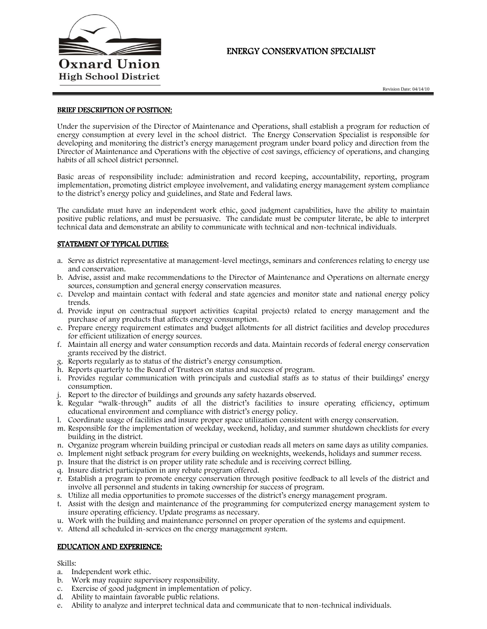

# ENERGY CONSERVATION SPECIALIST

#### BRIEF DESCRIPTION OF POSITION:

Under the supervision of the Director of Maintenance and Operations, shall establish a program for reduction of energy consumption at every level in the school district. The Energy Conservation Specialist is responsible for developing and monitoring the district's energy management program under board policy and direction from the Director of Maintenance and Operations with the objective of cost savings, efficiency of operations, and changing habits of all school district personnel.

Basic areas of responsibility include: administration and record keeping, accountability, reporting, program implementation, promoting district employee involvement, and validating energy management system compliance to the district's energy policy and guidelines, and State and Federal laws.

The candidate must have an independent work ethic, good judgment capabilities, have the ability to maintain positive public relations, and must be persuasive. The candidate must be computer literate, be able to interpret technical data and demonstrate an ability to communicate with technical and non-technical individuals.

### STATEMENT OF TYPICAL DUTIES:

- a. Serve as district representative at management-level meetings, seminars and conferences relating to energy use and conservation.
- b. Advise, assist and make recommendations to the Director of Maintenance and Operations on alternate energy sources, consumption and general energy conservation measures.
- c. Develop and maintain contact with federal and state agencies and monitor state and national energy policy trends.
- d. Provide input on contractual support activities (capital projects) related to energy management and the purchase of any products that affects energy consumption.
- e. Prepare energy requirement estimates and budget allotments for all district facilities and develop procedures for efficient utilization of energy sources.
- f. Maintain all energy and water consumption records and data. Maintain records of federal energy conservation grants received by the district.
- g. Reports regularly as to status of the district's energy consumption.
- h. Reports quarterly to the Board of Trustees on status and success of program.
- i. Provides regular communication with principals and custodial staffs as to status of their buildings' energy consumption.
- j. Report to the director of buildings and grounds any safety hazards observed.
- k. Regular "walk-through" audits of all the district's facilities to insure operating efficiency, optimum educational environment and compliance with district's energy policy.
- l. Coordinate usage of facilities and insure proper space utilization consistent with energy conservation.
- m. Responsible for the implementation of weekday, weekend, holiday, and summer shutdown checklists for every building in the district.
- n. Organize program wherein building principal or custodian reads all meters on same days as utility companies.
- o. Implement night setback program for every building on weeknights, weekends, holidays and summer recess.
- p. Insure that the district is on proper utility rate schedule and is receiving correct billing.
- q. Insure district participation in any rebate program offered.
- r. Establish a program to promote energy conservation through positive feedback to all levels of the district and involve all personnel and students in taking ownership for success of program.
- s. Utilize all media opportunities to promote successes of the district's energy management program.
- t. Assist with the design and maintenance of the programming for computerized energy management system to insure operating efficiency. Update programs as necessary.
- u. Work with the building and maintenance personnel on proper operation of the systems and equipment.
- v. Attend all scheduled in-services on the energy management system.

#### EDUCATION AND EXPERIENCE:

#### Skills:

- a. Independent work ethic.
- b. Work may require supervisory responsibility.
- c. Exercise of good judgment in implementation of policy.
- d. Ability to maintain favorable public relations.
- e. Ability to analyze and interpret technical data and communicate that to non-technical individuals.